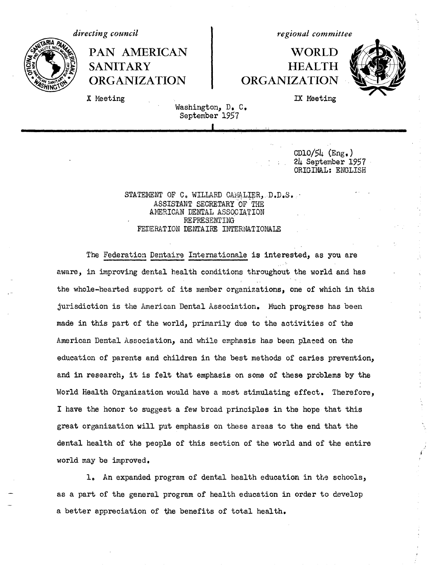

*directing council* and *regional committee* 

## PAN AMERICAN | WORLD SANITARY **HEALTH ORGANIZATION | ORGANIZATION**



X Meeting **IX** Meeting

Washington, D. C. September 1957

> CD10/54 (Eng.) 24 September 1957 ORIGINAL: ENGLISH

STATEMENT OF C. WILLARD CAMALIER, D.D.S. ASSISTANT SECRETARY OF THE AMERICAN DENTAL ASSOCIATION REPRESENTING FEDERATION DENTAIRE INTERNATIONALE

The Federation Dentaire Internationale is interested, as you are aware, in improving dental health conditions throughout the world and has the whole-hearted support of its member organizations, one of which in this jurisdiction is the American Dental Association. Much progress has been made in this part of the world, primarily due to the activities of the American Dental Association, and while emphasis has been placed on the education of parents and children in the best methods of caries prevention, and in research, it is felt that emphasis on some of these problems by the World Health Organization would have a most stimulating effect. Therefore, I have the honor to suggest a few broad principles in the hope that this great organization will put emphasis on these areas to the end that the dental health of the people of this section of the world and of the entire world may be improved.

1. An expanded program of dental health education in the schools, as a part of the general program of health education in order to develop a better appreciation of the benefits of total health.